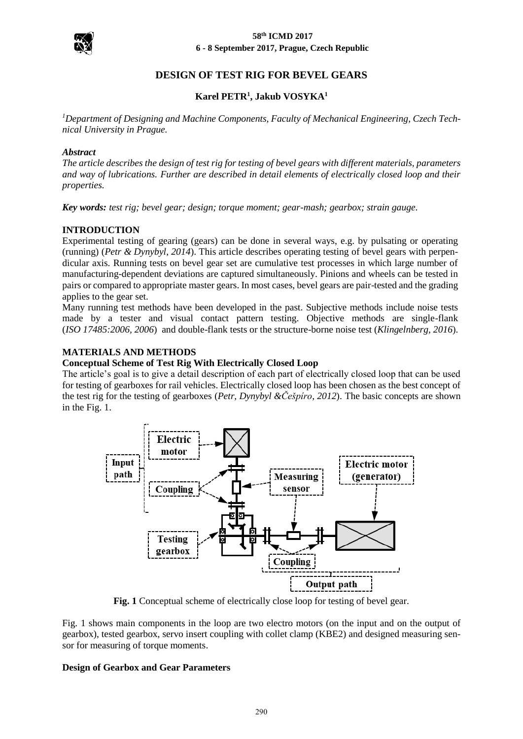

# **DESIGN OF TEST RIG FOR BEVEL GEARS**

# **Karel PETR<sup>1</sup> , Jakub VOSYKA<sup>1</sup>**

*<sup>1</sup>Department of Designing and Machine Components, Faculty of Mechanical Engineering, Czech Technical University in Prague.*

### *Abstract*

*The article describes the design of test rig for testing of bevel gears with different materials, parameters and way of lubrications. Further are described in detail elements of electrically closed loop and their properties.*

*Key words: test rig; bevel gear; design; torque moment; gear-mash; gearbox; strain gauge.*

### **INTRODUCTION**

Experimental testing of gearing (gears) can be done in several ways, e.g. by pulsating or operating (running) (*Petr & Dynybyl, 2014*). This article describes operating testing of bevel gears with perpendicular axis. Running tests on bevel gear set are cumulative test processes in which large number of manufacturing-dependent deviations are captured simultaneously. Pinions and wheels can be tested in pairs or compared to appropriate master gears. In most cases, bevel gears are pair-tested and the grading applies to the gear set.

Many running test methods have been developed in the past. Subjective methods include noise tests made by a tester and visual contact pattern testing. Objective methods are single-flank (*ISO 17485:2006, 2006*) and double-flank tests or the structure-borne noise test (*Klingelnberg, 2016*).

### **MATERIALS AND METHODS**

#### **Conceptual Scheme of Test Rig With Electrically Closed Loop**

The article's goal is to give a detail description of each part of electrically closed loop that can be used for testing of gearboxes for rail vehicles. Electrically closed loop has been chosen as the best concept of the test rig for the testing of gearboxes (*Petr, Dynybyl &Češpíro, 2012*). The basic concepts are shown in the Fig. 1.



**Fig. 1** Conceptual scheme of electrically close loop for testing of bevel gear.

Fig. 1 shows main components in the loop are two electro motors (on the input and on the output of gearbox), tested gearbox, servo insert coupling with collet clamp (KBE2) and designed measuring sensor for measuring of torque moments.

### **Design of Gearbox and Gear Parameters**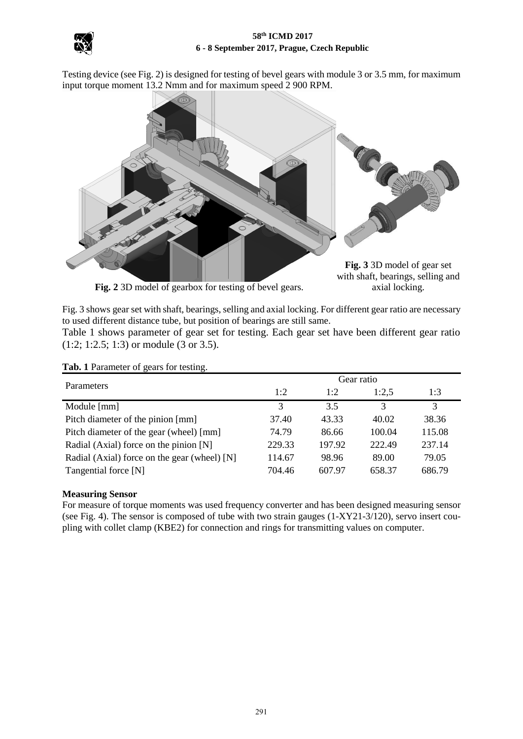

Testing device (see Fig. 2) is designed for testing of bevel gears with module 3 or 3.5 mm, for maximum input torque moment 13.2 Nmm and for maximum speed 2 900 RPM.



Fig. 2 3D model of gearbox for testing of bevel gears. axial locking.

with shaft, bearings, selling and

Fig. 3 shows gear set with shaft, bearings, selling and axial locking. For different gear ratio are necessary to used different distance tube, but position of bearings are still same.

Table 1 shows parameter of gear set for testing. Each gear set have been different gear ratio (1:2; 1:2.5; 1:3) or module (3 or 3.5).

| Parameters                                   | Gear ratio    |        |        |        |
|----------------------------------------------|---------------|--------|--------|--------|
|                                              | 1:2           | 1:2    | 1:2.5  | 1:3    |
| Module [mm]                                  | $\mathcal{R}$ | 3.5    | 3      | 3      |
| Pitch diameter of the pinion [mm]            | 37.40         | 43.33  | 40.02  | 38.36  |
| Pitch diameter of the gear (wheel) [mm]      | 74.79         | 86.66  | 100.04 | 115.08 |
| Radial (Axial) force on the pinion [N]       | 229.33        | 197.92 | 222.49 | 237.14 |
| Radial (Axial) force on the gear (wheel) [N] | 114.67        | 98.96  | 89.00  | 79.05  |
| Tangential force [N]                         | 704.46        | 607.97 | 658.37 | 686.79 |

**Tab. 1** Parameter of gears for testing.

# **Measuring Sensor**

For measure of torque moments was used frequency converter and has been designed measuring sensor (see Fig. 4). The sensor is composed of tube with two strain gauges (1-XY21-3/120), servo insert coupling with collet clamp (KBE2) for connection and rings for transmitting values on computer.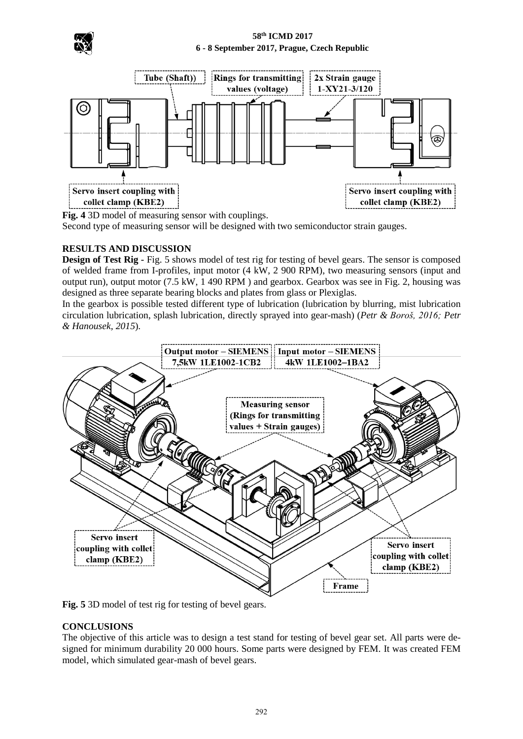



**Fig. 4** 3D model of measuring sensor with couplings.

Second type of measuring sensor will be designed with two semiconductor strain gauges.

# **RESULTS AND DISCUSSION**

**Design of Test Rig -** Fig. 5 shows model of test rig for testing of bevel gears. The sensor is composed of welded frame from I-profiles, input motor (4 kW, 2 900 RPM), two measuring sensors (input and output run), output motor (7.5 kW, 1 490 RPM ) and gearbox. Gearbox was see in Fig. 2, housing was designed as three separate bearing blocks and plates from glass or Plexiglas.

In the gearbox is possible tested different type of lubrication (lubrication by blurring, mist lubrication circulation lubrication, splash lubrication, directly sprayed into gear-mash) (*Petr & Boroš, 2016; Petr & Hanousek, 2015*).



**Fig. 5** 3D model of test rig for testing of bevel gears.

### **CONCLUSIONS**

The objective of this article was to design a test stand for testing of bevel gear set. All parts were designed for minimum durability 20 000 hours. Some parts were designed by FEM. It was created FEM model, which simulated gear-mash of bevel gears.